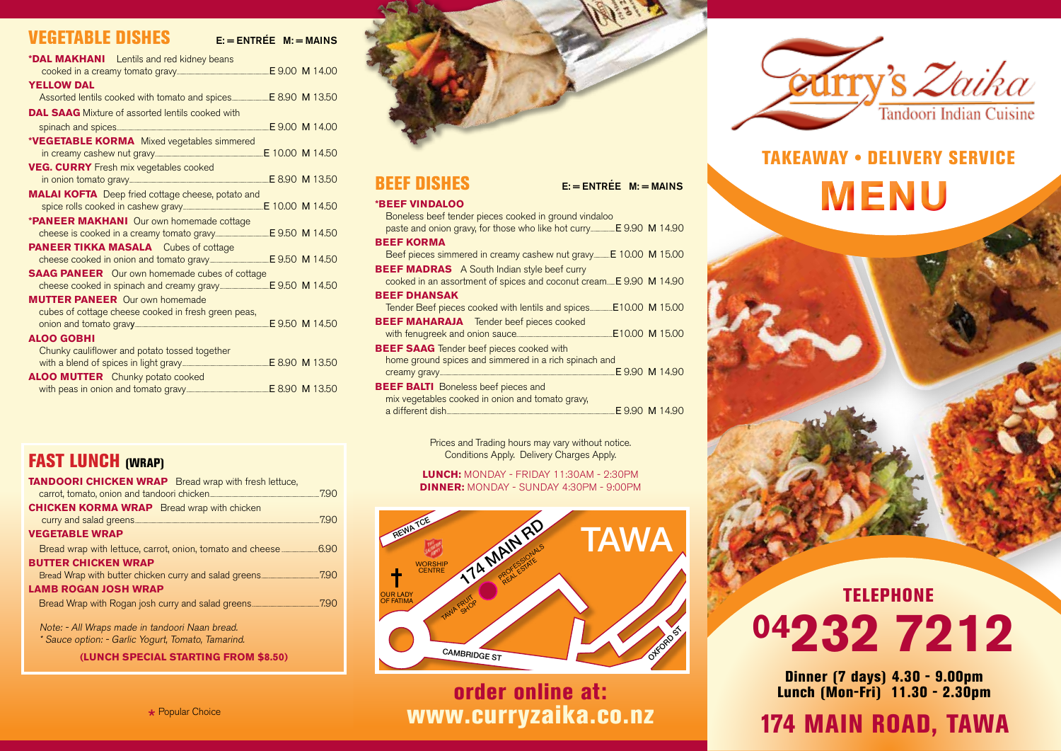### **VEGETABLE DISHES**

 $F = FNTR \nvdash M = MAINS$ 

| <b>*DAL MAKHANI</b> Lentils and red kidney beans                       |  |
|------------------------------------------------------------------------|--|
|                                                                        |  |
| <b>YELLOW DAL</b>                                                      |  |
|                                                                        |  |
| <b>DAL SAAG</b> Mixture of assorted lentils cooked with                |  |
|                                                                        |  |
| *VEGETABLE KORMA Mixed vegetables simmered                             |  |
|                                                                        |  |
| <b>VEG. CURRY</b> Fresh mix vegetables cooked                          |  |
|                                                                        |  |
| <b>MALAI KOFTA</b> Deep fried cottage cheese, potato and               |  |
|                                                                        |  |
| <b>*PANEER MAKHANI</b> Our own homemade cottage                        |  |
|                                                                        |  |
| <b>PANEER TIKKA MASALA</b> Cubes of cottage                            |  |
| cheese cooked in onion and tomato gravy________________ E 9.50 M 14.50 |  |
| <b>SAAG PANEER</b> Our own homemade cubes of cottage                   |  |
|                                                                        |  |
| <b>MUTTER PANEER</b> Our own homemade                                  |  |
| cubes of cottage cheese cooked in fresh green peas,                    |  |
|                                                                        |  |
| <b>ALOO GOBHI</b>                                                      |  |
| Chunky cauliflower and potato tossed together                          |  |
|                                                                        |  |
| <b>ALOO MUTTER</b> Chunky potato cooked                                |  |
|                                                                        |  |
|                                                                        |  |



#### BEEF DISHES E: = ENTRÉE M: = MAINS

#### **\*Beef Vindaloo**

Boneless beef tender pieces cooked in ground vindaloo paste and onion gravy, for those who like hot curry...............................E 9.90 M 14.90 **Beef Korma**  Beef pieces simmered in creamy cashew nut gravy........... E 10.00 M 15.00 **BEEF MADRAS** A South Indian style beef curry cooked in an assortment of spices and coconut cream..........E 9.90 M 14.90 **Beef Dhansak**  Tender Beef pieces cooked with lentils and spices.............................E10.00 M 15.00 **BEEF MAHARAJA** Tender beef pieces cooked with fenugreek and onion sauce...........................................................................................................................E10.00 M 15.00 **BEEF SAAG** Tender beef pieces cooked with home ground spices and simmered in a rich spinach and<br>creamy gravy E 9.90 M 14.90 creamy gravy... **BEEF BALTI** Boneless beef pieces and mix vegetables cooked in onion and tomato gravy, E 9.90 M 14.90

> Prices and Trading hours may vary without notice. Conditions Apply. Delivery Charges Apply.

**Lunch:** Monday - Friday 11:30am - 2:30pm **Dinner:** Monday - Sunday 4:30pm - 9:00pm



order online at: www.curryzaika.co.nz



### Takeaway • Delivery Service

**MENU**

# **TELEPHONE 04232 7212**

Dinner (7 days) 4.30 - 9.00pm Lunch (Mon-Fri) 11.30 - 2.30pm

# 174 MAIN ROAD, TAWA

\* Popular Choice

**(Lunch Special starting from \$8.50)**

**FAST LUNCH (WRAP)** 

| <b>TANDOORI CHICKEN WRAP</b> Bread wrap with fresh lettuce,                        |      |
|------------------------------------------------------------------------------------|------|
|                                                                                    |      |
| <b>CHICKEN KORMA WRAP</b> Bread wrap with chicken                                  | 7.90 |
| <b>VEGETABLE WRAP</b>                                                              |      |
| Bread wrap with lettuce, carrot, onion, tomato and cheese <u>_</u> ___________6.90 |      |
| <b>BUTTER CHICKEN WRAP</b>                                                         |      |
|                                                                                    |      |
| <b>LAMB ROGAN JOSH WRAP</b>                                                        |      |
|                                                                                    |      |
| Note: - All Wraps made in tandoori Naan bread.                                     |      |
| $*$ $\alpha$ . The same same $\alpha$ is the Mean of Terms of $\alpha$ is $\alpha$ |      |

Sauce option: - Garlic Yogurt, Tomato, Tamarind.